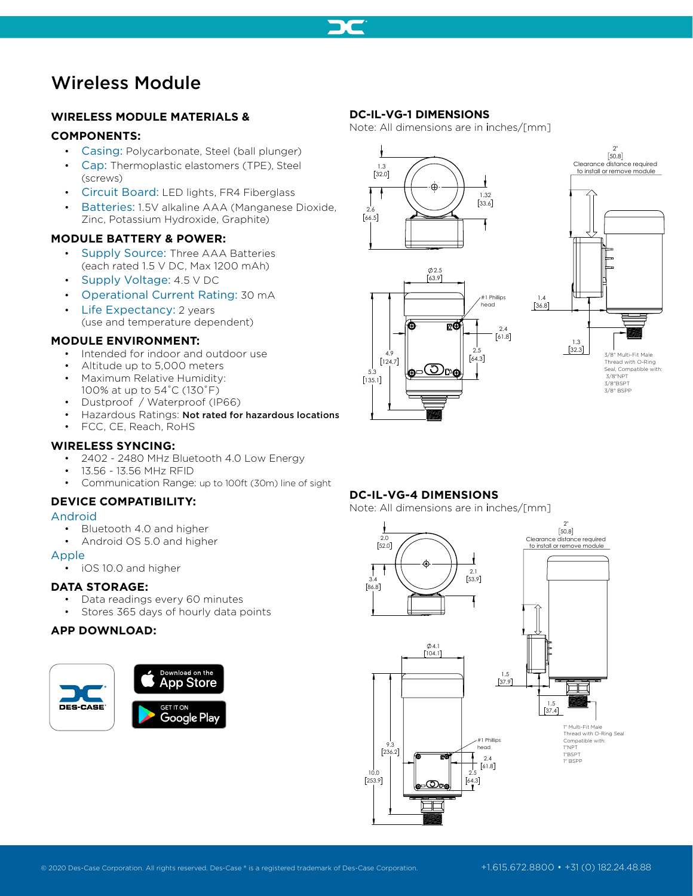

# Wireless Module

# **WIRELESS MODULE MATERIALS &**

# **COMPONENTS:**

- Casing: Polycarbonate, Steel (ball plunger)
- Cap: Thermoplastic elastomers (TPE), Steel (screws)
- Circuit Board: LED lights, FR4 Fiberglass
- Batteries: 1.5V alkaline AAA (Manganese Dioxide, Zinc, Potassium Hydroxide, Graphite)

# **MODULE BATTERY & POWER:**

- Supply Source: Three AAA Batteries (each rated 1.5 V DC, Max 1200 mAh)
- Supply Voltage: 4.5 V DC
- Operational Current Rating: 30 mA
- Life Expectancy: 2 years (use and temperature dependent)

# **MODULE ENVIRONMENT:**

- Intended for indoor and outdoor use
- Altitude up to 5,000 meters
- Maximum Relative Humidity: 100% at up to 54˚C (130˚F)
- Dustproof / Waterproof (IP66)
- Hazardous Ratings: Not rated for hazardous locations
- FCC, CE, Reach, RoHS

### **WIRELESS SYNCING:**

- 2402 2480 MHz Bluetooth 4.0 Low Energy
- 13.56 13.56 MHz RFID
- Communication Range: up to 100ft (30m) line of sight

# **DEVICE COMPATIBILITY:**

#### Android

- Bluetooth 4.0 and higher
- Android OS 5.0 and higher

#### Apple

• iOS 10.0 and higher

# **DATA STORAGE:**

- Data readings every 60 minutes
- Stores 365 days of hourly data points

# **APP DOWNLOAD:**



### **DC-IL-VG-1 DIMENSIONS**

Note: All dimensions are in inches/[mm]



∍©ೕ



# **DC-IL-VG-4 DIMENSIONS**

5.3 135.1

4.9  $[124.7]$ 

Note: All dimensions are in inches/[mm]

2.5 64.3